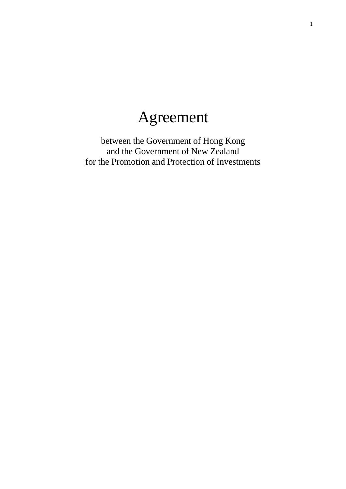# Agreement

between the Government of Hong Kong and the Government of New Zealand for the Promotion and Protection of Investments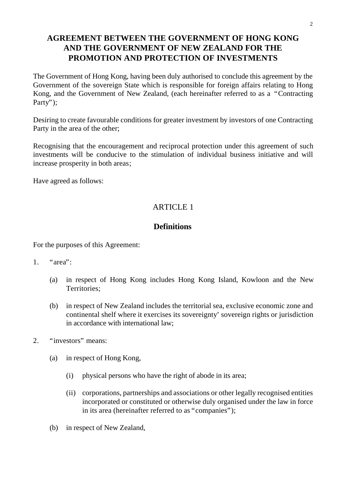# **AGREEMENT BETWEEN THE GOVERNMENT OF HONG KONG AND THE GOVERNMENT OF NEW ZEALAND FOR THE PROMOTION AND PROTECTION OF INVESTMENTS**

The Government of Hong Kong, having been duly authorised to conclude this agreement by the Government of the sovereign State which is responsible for foreign affairs relating to Hong Kong, and the Government of New Zealand, (each hereinafter referred to as a "Contracting Party");

Desiring to create favourable conditions for greater investment by investors of one Contracting Party in the area of the other;

Recognising that the encouragement and reciprocal protection under this agreement of such investments will be conducive to the stimulation of individual business initiative and will increase prosperity in both areas;

Have agreed as follows:

# ARTICLE 1

## **Definitions**

For the purposes of this Agreement:

- 1. "area":
	- (a) in respect of Hong Kong includes Hong Kong Island, Kowloon and the New Territories;
	- (b) in respect of New Zealand includes the territorial sea, exclusive economic zone and continental shelf where it exercises its sovereignty' sovereign rights or jurisdiction in accordance with international law;
- 2. "investors" means:
	- (a) in respect of Hong Kong,
		- (i) physical persons who have the right of abode in its area;
		- (ii) corporations, partnerships and associations or other legally recognised entities incorporated or constituted or otherwise duly organised under the law in force in its area (hereinafter referred to as "companies");
	- (b) in respect of New Zealand,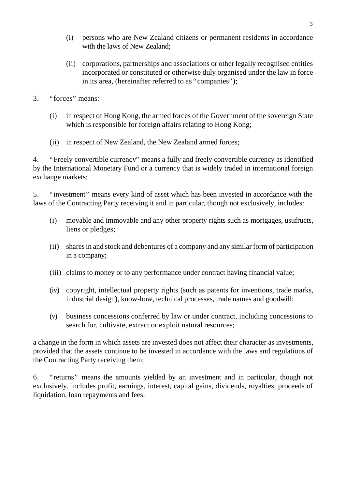- (i) persons who are New Zealand citizens or permanent residents in accordance with the laws of New Zealand;
- (ii) corporations, partnerships and associations or other legally recognised entities incorporated or constituted or otherwise duly organised under the law in force in its area, (hereinafter referred to as "companies");
- 3. "forces" means:
	- (i) in respect of Hong Kong, the armed forces of the Government of the sovereign State which is responsible for foreign affairs relating to Hong Kong;
	- (ii) in respect of New Zealand, the New Zealand armed forces;

4. "Freely convertible currency" means a fully and freely convertible currency as identified by the International Monetary Fund or a currency that is widely traded in international foreign exchange markets;

5. "investment" means every kind of asset which has been invested in accordance with the laws of the Contracting Party receiving it and in particular, though not exclusively, includes:

- (i) movable and immovable and any other property rights such as mortgages, usufructs, liens or pledges;
- (ii) shares in and stock and debentures of a company and any similar form of participation in a company;
- (iii) claims to money or to any performance under contract having financial value;
- (iv) copyright, intellectual property rights (such as patents for inventions, trade marks, industrial design), know-how, technical processes, trade names and goodwill;
- (v) business concessions conferred by law or under contract, including concessions to search for, cultivate, extract or exploit natural resources;

a change in the form in which assets are invested does not affect their character as investments, provided that the assets continue to be invested in accordance with the laws and regulations of the Contracting Party receiving them;

6. "returns" means the amounts yielded by an investment and in particular, though not exclusively, includes profit, earnings, interest, capital gains, dividends, royalties, proceeds of liquidation, loan repayments and fees.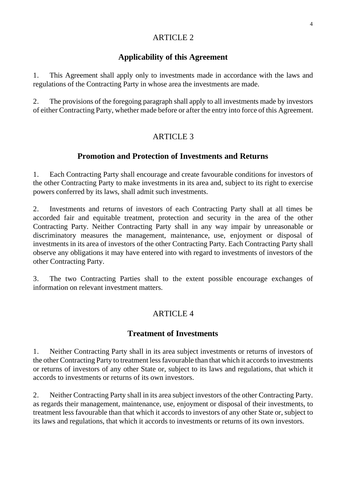## ARTICLE 2

## **Applicability of this Agreement**

1. This Agreement shall apply only to investments made in accordance with the laws and regulations of the Contracting Party in whose area the investments are made.

2. The provisions of the foregoing paragraph shall apply to all investments made by investors of either Contracting Party, whether made before or after the entry into force of this Agreement.

# ARTICLE 3

# **Promotion and Protection of Investments and Returns**

1. Each Contracting Party shall encourage and create favourable conditions for investors of the other Contracting Party to make investments in its area and, subject to its right to exercise powers conferred by its laws, shall admit such investments.

2. Investments and returns of investors of each Contracting Party shall at all times be accorded fair and equitable treatment, protection and security in the area of the other Contracting Party. Neither Contracting Party shall in any way impair by unreasonable or discriminatory measures the management, maintenance, use, enjoyment or disposal of investments in its area of investors of the other Contracting Party. Each Contracting Party shall observe any obligations it may have entered into with regard to investments of investors of the other Contracting Party.

3. The two Contracting Parties shall to the extent possible encourage exchanges of information on relevant investment matters.

# ARTICLE 4

## **Treatment of Investments**

1. Neither Contracting Party shall in its area subject investments or returns of investors of the other Contracting Party to treatment less favourable than that which it accords to investments or returns of investors of any other State or, subject to its laws and regulations, that which it accords to investments or returns of its own investors.

2. Neither Contracting Party shall in its area subject investors of the other Contracting Party. as regards their management, maintenance, use, enjoyment or disposal of their investments, to treatment less favourable than that which it accords to investors of any other State or, subject to its laws and regulations, that which it accords to investments or returns of its own investors.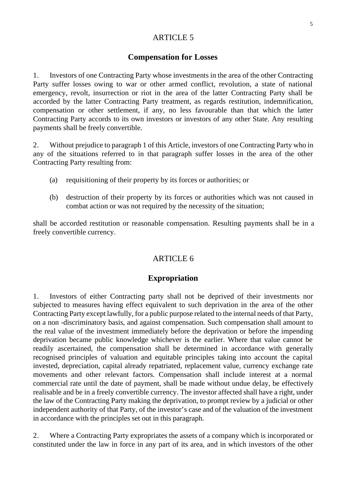## ARTICLE 5

## **Compensation for Losses**

1. Investors of one Contracting Party whose investments in the area of the other Contracting Party suffer losses owing to war or other armed conflict, revolution, a state of national emergency, revolt, insurrection or riot in the area of the latter Contracting Party shall be accorded by the latter Contracting Party treatment, as regards restitution, indemnification, compensation or other settlement, if any, no less favourable than that which the latter Contracting Party accords to its own investors or investors of any other State. Any resulting payments shall be freely convertible.

2. Without prejudice to paragraph 1 of this Article, investors of one Contracting Party who in any of the situations referred to in that paragraph suffer losses in the area of the other Contracting Party resulting from:

- (a) requisitioning of their property by its forces or authorities; or
- (b) destruction of their property by its forces or authorities which was not caused in combat action or was not required by the necessity of the situation;

shall be accorded restitution or reasonable compensation. Resulting payments shall be in a freely convertible currency.

## ARTICLE 6

#### **Expropriation**

1. Investors of either Contracting party shall not be deprived of their investments nor subjected to measures having effect equivalent to such deprivation in the area of the other Contracting Party except lawfully, for a public purpose related to the internal needs of that Party, on a non -discriminatory basis, and against compensation. Such compensation shall amount to the real value of the investment immediately before the deprivation or before the impending deprivation became public knowledge whichever is the earlier. Where that value cannot be readily ascertained, the compensation shall be determined in accordance with generally recognised principles of valuation and equitable principles taking into account the capital invested, depreciation, capital already repatriated, replacement value, currency exchange rate movements and other relevant factors. Compensation shall include interest at a normal commercial rate until the date of payment, shall be made without undue delay, be effectively realisable and be in a freely convertible currency. The investor affected shall have a right, under the law of the Contracting Party making the deprivation, to prompt review by a judicial or other independent authority of that Party, of the investor's case and of the valuation of the investment in accordance with the principles set out in this paragraph.

2. Where a Contracting Party expropriates the assets of a company which is incorporated or constituted under the law in force in any part of its area, and in which investors of the other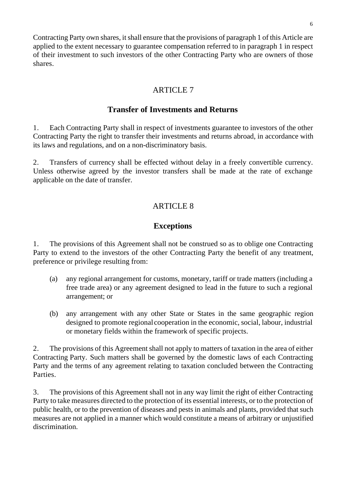Contracting Party own shares, it shall ensure that the provisions of paragraph 1 of this Article are applied to the extent necessary to guarantee compensation referred to in paragraph 1 in respect of their investment to such investors of the other Contracting Party who are owners of those shares.

## ARTICLE 7

#### **Transfer of Investments and Returns**

1. Each Contracting Party shall in respect of investments guarantee to investors of the other Contracting Party the right to transfer their investments and returns abroad, in accordance with its laws and regulations, and on a non-discriminatory basis.

2. Transfers of currency shall be effected without delay in a freely convertible currency. Unless otherwise agreed by the investor transfers shall be made at the rate of exchange applicable on the date of transfer.

## ARTICLE 8

#### **Exceptions**

1. The provisions of this Agreement shall not be construed so as to oblige one Contracting Party to extend to the investors of the other Contracting Party the benefit of any treatment, preference or privilege resulting from:

- (a) any regional arrangement for customs, monetary, tariff or trade matters (including a free trade area) or any agreement designed to lead in the future to such a regional arrangement; or
- (b) any arrangement with any other State or States in the same geographic region designed to promote regional cooperation in the economic, social, labour, industrial or monetary fields within the framework of specific projects.

2. The provisions of this Agreement shall not apply to matters of taxation in the area of either Contracting Party. Such matters shall be governed by the domestic laws of each Contracting Party and the terms of any agreement relating to taxation concluded between the Contracting Parties.

3. The provisions of this Agreement shall not in any way limit the right of either Contracting Party to take measures directed to the protection of its essential interests, or to the protection of public health, or to the prevention of diseases and pests in animals and plants, provided that such measures are not applied in a manner which would constitute a means of arbitrary or unjustified discrimination.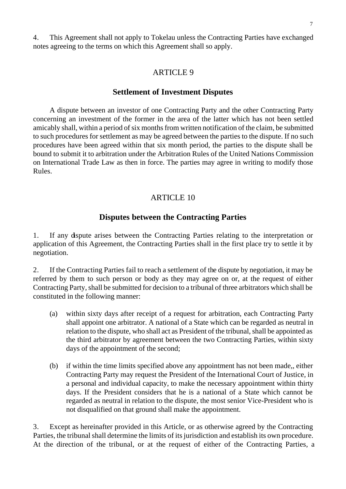4. This Agreement shall not apply to Tokelau unless the Contracting Parties have exchanged notes agreeing to the terms on which this Agreement shall so apply.

#### ARTICLE 9

#### **Settlement of Investment Disputes**

A dispute between an investor of one Contracting Party and the other Contracting Party concerning an investment of the former in the area of the latter which has not been settled amicably shall, within a period of six months from written notification of the claim, be submitted to such procedures for settlement as may be agreed between the parties to the dispute. If no such procedures have been agreed within that six month period, the parties to the dispute shall be bound to submit it to arbitration under the Arbitration Rules of the United Nations Commission on International Trade Law as then in force. The parties may agree in writing to modify those Rules.

#### ARTICLE 10

#### **Disputes between the Contracting Parties**

1. If any dispute arises between the Contracting Parties relating to the interpretation or application of this Agreement, the Contracting Parties shall in the first place try to settle it by negotiation.

2. If the Contracting Parties fail to reach a settlement of the dispute by negotiation, it may be referred by them to such person or body as they may agree on or, at the request of either Contracting Party, shall be submitted for decision to a tribunal of three arbitrators which shall be constituted in the following manner:

- (a) within sixty days after receipt of a request for arbitration, each Contracting Party shall appoint one arbitrator. A national of a State which can be regarded as neutral in relation to the dispute, who shall act as President of the tribunal, shall be appointed as the third arbitrator by agreement between the two Contracting Parties, within sixty days of the appointment of the second;
- (b) if within the time limits specified above any appointment has not been made,, either Contracting Party may request the President of the International Court of Justice, in a personal and individual capacity, to make the necessary appointment within thirty days. If the President considers that he is a national of a State which cannot be regarded as neutral in relation to the dispute, the most senior Vice-President who is not disqualified on that ground shall make the appointment.

3. Except as hereinafter provided in this Article, or as otherwise agreed by the Contracting Parties, the tribunal shall determine the limits of its jurisdiction and establish its own procedure. At the direction of the tribunal, or at the request of either of the Contracting Parties, a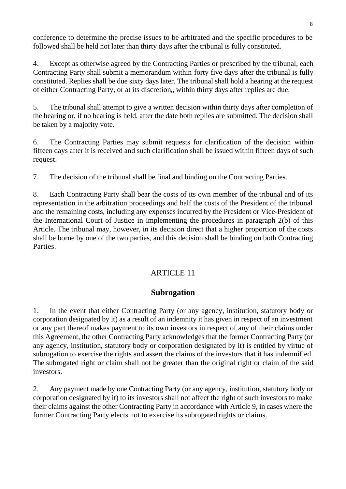conference to determine the precise issues to be arbitrated and the specific procedures to be followed shall be held not later than thirty days after the tribunal is fully constituted.

4. Except as otherwise agreed by the Contracting Parties or prescribed by the tribunal, each Contracting Party shall submit a memorandum within forty five days after the tribunal is fully constituted. Replies shall be due sixty days later. The tribunal shall hold a hearing at the request of either Contracting Party, or at its discretion,, within thirty days after replies are due.

5. The tribunal shall attempt to give a written decision within thirty days after completion of the hearing or, if no hearing is held, after the date both replies are submitted. The decision shall be taken by a majority vote.

6. The Contracting Parties may submit requests for clarification of the decision within fifteen days after it is received and such clarification shall be issued within fifteen days of such request.

7. The decision of the tribunal shall be final and binding on the Contracting Parties.

8. Each Contracting Party shall bear the costs of its own member of the tribunal and of its representation in the arbitration proceedings and half the costs of the President of the tribunal and the remaining costs, including any expenses incurred by the President or Vice-President of the International Court of Justice in implementing the procedures in paragraph 2(b) of this Article. The tribunal may, however, in its decision direct that a higher proportion of the costs shall be borne by one of the two parties, and this decision shall be binding on both Contracting Parties.

# ARTICLE 11

# **Subrogation**

1. In the event that either Contracting Party (or any agency, institution, statutory body or corporation designated by it) as a result of an indemnity it has given in respect of an investment or any part thereof makes payment to its own investors in respect of any of their claims under this Agreement, the other Contracting Party acknowledges that the former Contracting Party (or any agency, institution, statutory body or corporation designated by it) is entitled by virtue of subrogation to exercise the rights and assert the claims of the investors that it has indemnified. The subrogated right or claim shall not be greater than the original right or claim of the said investors.

2. Any payment made by one Contracting Party (or any agency, institution, statutory body or corporation designated by it) to its investors shall not affect the right of such investors to make their claims against the other Contracting Party in accordance with Article 9, in cases where the former Contracting Party elects not to exercise its subrogated rights or claims.